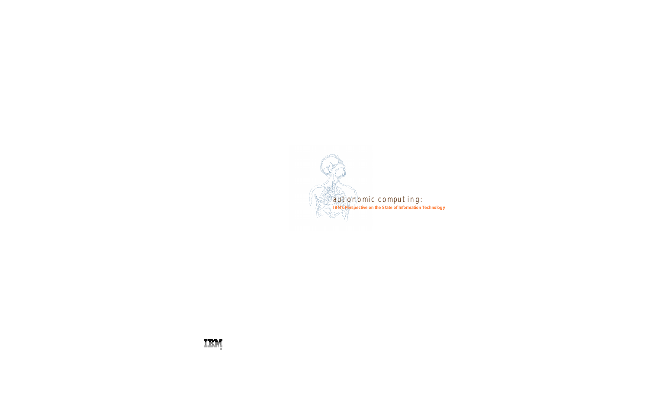

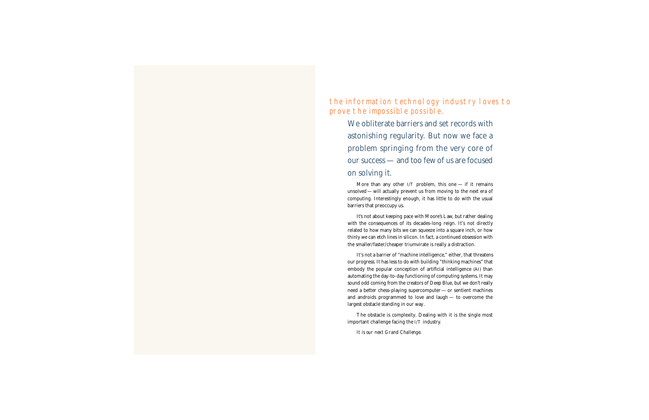the information technology industry loves to prove the impossible possible.

We obliterate barriers and set records with astonishing regularity. But now we face a problem springing from the very core of our success — and too few of us are focused on solving it.

More than any other I/T problem, this one  $-$  if it remains unsolved — will actually prevent us from moving to the next era of computing. Interestingly enough, it has little to do with the usual barriers that preoccupy us.

It's not about keeping pace with Moore's Law, but rather dealing with the consequences of its decades-long reign. It's not directly related to how many bits we can squeeze into a square inch, or how thinly we can etch lines in silicon. In fact, a continued obsession with the smaller/faster/cheaper triumvirate is really a distraction.

It's not a barrier of "machine intelligence," either, that threatens our progress. It has less to do with building "thinking machines" that embody the popular conception of artificial intelligence (AI) than automating the day-to-day functioning of computing systems. It may sound odd coming from the creators of Deep Blue, but we don't really need a better chess-playing supercomputer — or sentient machines and androids programmed to love and laugh — to overcome the largest obstacle standing in our way.

The obstacle is complexity. Dealing with it is the single most important challenge facing the I/T industry.

*It is our next Grand Challenge.*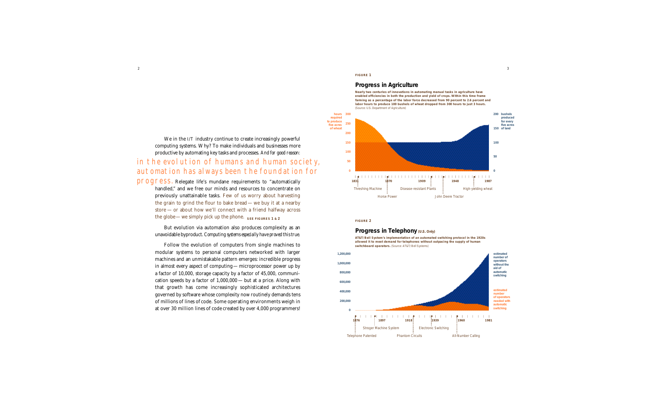We in the  $I/T$  industry continue to create increasingly powerful computing systems. Why? To make individuals and businesses more productive by automating key tasks and processes. *And for good reason:* in the evolution of humans and human society , automation has always been the foundation for

progress. Relegate life's mundane requirements to "automatically handled," and we free our minds and resources to concentrate on previously unattainable tasks. Few of us worry about harvesting the grain to grind the flour to bake bread — we buy it at a nearby  $store$  — or about how we'll connect with a friend halfway across the globe—we simply pick up the phone.  $\frac{1}{2}$  **SEE FIGURES 1** & 2

> But evolution via automation also produces complexity as an unavoidable byproduct. *Computing systems especially have proved this true.*

> Follow the evolution of computers from single machines to modular systems to personal computers networked with larger machines and an unmistakable pattern emerges: incredible progress in almost every aspect of computing—microprocessor power up by a factor of 10,000, storage capacity by a factor of 45,000, communication speeds by a factor of 1,000,000— but at a price. Along with that growth has come increasingly sophisticated architectures governed by software whose complexity now routinely demands tens of millions of lines of code. Some operating environments weigh in at over 30 million lines of code created by over 4,000 programmers!

**F IGURE 1**

#### **Progress in Agriculture**

**Nearly two centuries of innovations in automating manual tasks in agriculture have enabled efficiencies in both the production and yield of crops. Within this time frame farming as a percentage of the labor force decreased from 90 percent to 2.6 percent and labor hours to produce 100 bushels of wheat dropped from 300 hours to just 3 hours.** (Source: U.S. Department of Agriculture)



#### **F IGURE 2**

#### **Progress in Telephony (U.S. Only)**

**AT & T /Bell System's implementation of an automated switching protocol in the 1920s allowed it to meet demand for telephones without outpacing the supply of human**  switchboard operators. (Source: AT&T/Bell Systems)

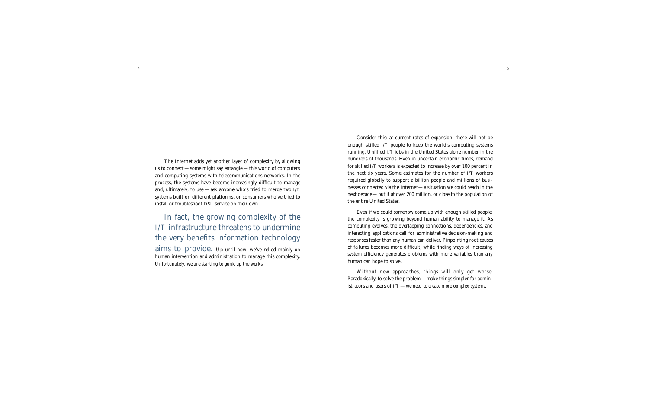4

The Internet adds yet another layer of complexity by allowing us to connect — some might say entangle — this world of computers and computing systems with telecommunications networks. In the process, the systems have become increasingly difficult to manage and, ultimately, to use  $-\text{ask}$  anyone who's tried to merge two I/T systems built on different platforms, or consumers who've tried to install or troubleshoot DSL service on their own.

In fact, the growing complexity of the  $I/T$  infrastructure threatens to undermine the very benefits information technology aims to provide. Up until now, we've relied mainly on human intervention and administration to manage this complexity. *Unfortunately, we are starting to gunk up the works.* 

Consider this: at current rates of expansion, there will not be enough skilled I/T people to keep the world's computing systems running. Unfilled I/T jobs in the United States alone number in the hundreds of thousands. Even in uncertain economic times, demand for skilled I/T workers is expected to increase by over 100 percent in the next six years. Some estimates for the number of I/T workers required globally to support a billion people and millions of businesses connected via the Internet—a situation we could reach in the next decade—put it at over 200 million, or close to the population of the entire United States.

Even if we could somehow come up with enough skilled people, the complexity is growing beyond human ability to manage it. As computing evolves, the overlapping connections, dependencies, and interacting applications call for administrative decision-making and responses faster than any human can deliver. Pinpointing root causes of failures becomes more difficult, while finding ways of increasing system efficiency generates problems with more variables than any human can hope to solve.

Without new approaches, things will only get worse. Paradoxically, to solve the problem—make things simpler for administrators and users of  $I/T$  — we need to create more complex systems.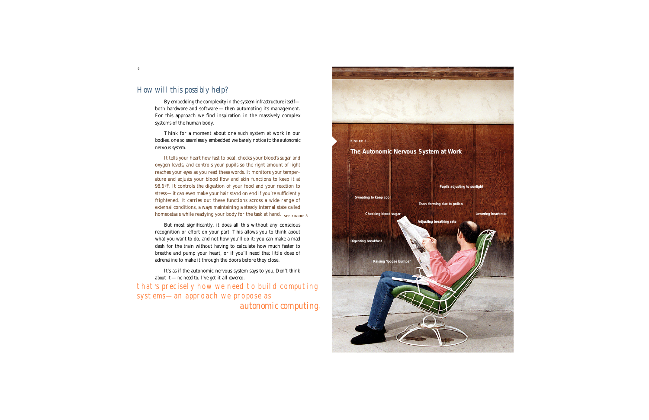### *How will this possibly help?*

By embedding the complexity in the system infrastructure itselfboth hardware and software  $-$  then automating its management. For this approach we find inspiration in the massively complex systems of the human body.

Think for a moment about one such system at work in our bodies, one so seamlessly embedded we barely notice it: *the autonomic n e rvous system.*

It tells your heart how fast to beat, checks your blood's sugar and oxygen levels, and controls your pupils so the right amount of light reaches your eyes as you read these words. It monitors your temperature and adjusts your blood flow and skin functions to keep it at 98.6°F. It controls the digestion of your food and your reaction to stress—it can even make your hair stand on end if you're sufficiently frightened. It carries out these functions across a wide range of external conditions, always maintaining a steady internal state called homeostasis while readying your body for the task at hand. SEE FIGURE 3

But most significantly, it does all this without any conscious recognition or effort on your part. This allows you to think about what you want to do, and not how you'll do it: you can make a mad dash for the train without having to calculate how much faster to breathe and pump your heart, or if you'll need that little dose of adrenaline to make it through the doors before they close.

It's as if the autonomic nervous system says to you, *Don't think about it* — *no need to. I've got it all covered.*  that's precisely how we need to build computing systems—an approach we propose as *autonomic computing* .



6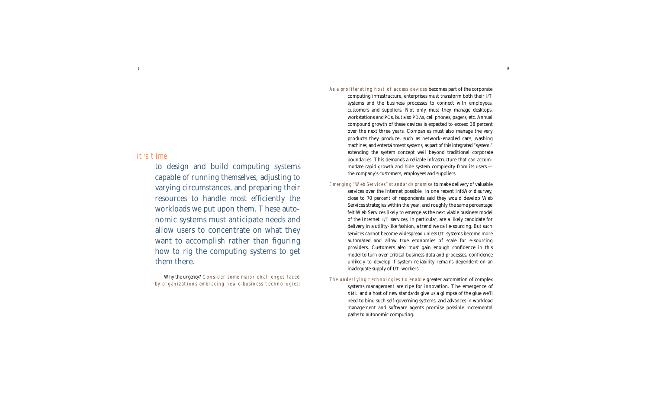### it's time

to design and build computing systems capable of *running themselves,* adjusting to varying circumstances, and preparing their resources to handle most efficiently the workloads we put upon them. These autonomic systems must anticipate needs and allow users to concentrate on what they want to accomplish rather than figuring how to rig the computing systems to get them there.

*Why the urgency?* Consider some major challenges faced by organizations embracing new e-business technologies:

#### As a proliferating host of access devices becomes part of the corporate

computing infrastructure, enterprises must transform both their I/T systems and the business processes to connect with employees, customers and suppliers. Not only must they manage desktops, workstations and PCs, but also PDAs, cell phones, pagers, etc. Annual compound growth of these devices is expected to exceed 38 percent over the next three years. Companies must also manage the very products they produce, such as network-enabled cars, washing machines, and entertainment systems, as part of this integrated "system," extending the system concept well beyond traditional corporate boundaries. This demands a reliable infrastructure that can accommodate rapid growth and hide system complexity from its users the company's customers, employees and suppliers.

- Emerging "Web Services" standards promise to make delivery of valuable services over the Internet possible. In one recent *InfoWorld* survey, close to 70 percent of respondents said they would develop Web Services strategies within the year, and roughly the same percentage felt Web Services likely to emerge as the next viable business model of the Internet. I/T services, in particular, are a likely candidate for delivery in a utility-like fashion, a trend we call e-sourcing. But such services cannot become widespread unless I/T systems become more automated and allow true economies of scale for e-sourcing providers. Customers also must gain enough confidence in this model to turn over critical business data and processes, confidence unlikely to develop if system reliability remains dependent on an inadequate supply of I/T workers.
- The underlying technologies to enable greater automation of complex systems management are ripe for innovation. The emergence of XML and a host of new standards give us a glimpse of the glue we'll need to bind such self-governing systems, and advances in workload management and software agents promise possible incremental paths to autonomic computing.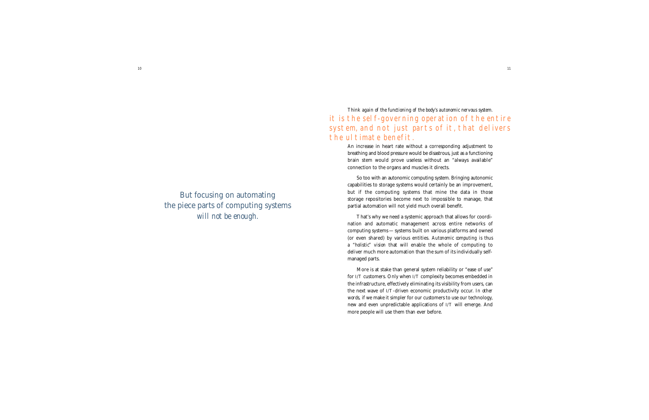But focusing on automating the piece parts of computing systems *will not be enough.*

*Think again of the functioning of the body's autonomic nervous system.*  it is the self-governing operation of the entire system, and not just parts of it, that delivers the ultimate benefit.

> An increase in heart rate without a corresponding adjustment to breathing and blood pressure would be disastrous, just as a functioning brain stem would prove useless without an "always available" connection to the organs and muscles it directs.

> So too with an autonomic computing system. Bringing autonomic capabilities to storage systems would certainly be an improvement, but if the computing systems that mine the data in those storage repositories become next to impossible to manage, that partial automation will not yield much overall benefit.

> That's why we need a systemic approach that allows for coordination and automatic management across entire networks of computing systems —systems built on various platforms and owned (or even shared) by various entities. *Autonomic computing is thus a "holistic" vision* that will enable the whole of computing to deliver much more automation than the sum of its individually selfmanaged parts.

> More is at stake than general system reliability or "ease of use" for I/T customers. Only when I/T complexity becomes embedded in the infrastructure, effectively eliminating its visibility from users, can the next wave of I/T-driven economic productivity occur. *In other words*, if we make it simpler for our customers to use our technology, new and even unpredictable applications of I/T will emerge. And more people will use them than ever before.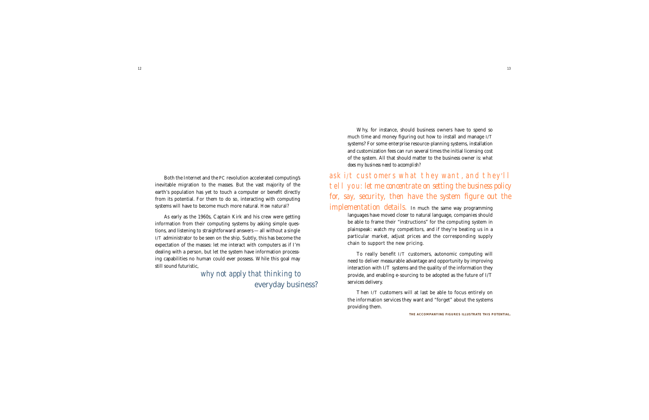Both the Internet and the PC revolution accelerated computing's inevitable migration to the masses. But the vast majority of the earth's population has yet to touch a computer or benefit directly from its potential. For them to do so, interacting with computing systems will have to become much more natural. *How natural?*

As early as the 1960s, Captain Kirk and his crew were getting information from their computing systems by asking simple questions, and listening to straightforward answers—all without a single I/T administrator to be seen on the ship. Subtly, this has become the expectation of the masses: let me interact with computers as if I'm dealing with a person, but let the system have information processing capabilities no human could ever possess. While this goal may still sound futuristic,

> *why not apply that thinking to* everyday business?

Why, for instance, should business owners have to spend so much time and money figuring out how to install and manage I/T systems? For some enterprise resource-planning systems, installation and customization fees can run several times the initial licensing cost of the system. All that should matter to the business owner is: what *does my business need to accomplish?* 

ask i/t customers what they want, and they'll tell you: *let me concentrate on setting the business policy for, say, security, then have the system figure out the implementation details.* In much the same way programming

languages have moved closer to natural language, companies should be able to frame their "instructions" for the computing system in plainspeak: watch my competitors, and if they're beating us in a particular market, adjust prices and the corresponding supply chain to support the new pricing.

To really benefit I/T customers, autonomic computing will need to deliver measurable advantage and opportunity by improving interaction with I/T systems and the quality of the information they provide, and enabling e-sourcing to be adopted as the future of I/T services delivery.

Then I/T customers will at last be able to focus entirely on the information services they want and "forget" about the systems providing them.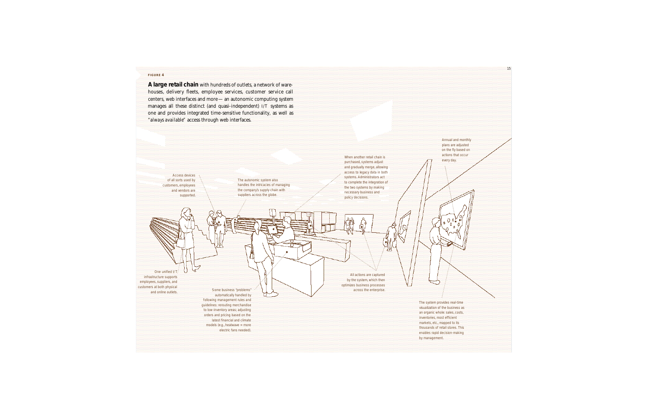#### **F IGURE 4**

**A large retail chain** with hundreds of outlets, a network of ware houses, delivery fleets, employee services, customer service call centers, web interfaces and more — an autonomic computing system manages all these distinct (and quasi-independent) I/T systems as one and provides integrated time-sensitive functionality, as well as *"always available"* access through web interfaces.

> Access devices of all sorts used by customers, employees and vendors are supported.

One unified I/T infrastructure supports employees, suppliers, and customers at both physical and online outlets.

The autonomic system also handles the intricacies of managing the company's supply chain with suppliers across the globe.

When another retail chain is purchased, systems adjust and gradually merge, allowing access to legacy data in both systems. Administrators act to complete the integration of the two systems by making necessary business and policy decisions.

All actions are captured by the system, which then optimizes business processes across the enterprise.

> The system provides real-time visualization of the business as an organic whole: sales, costs, inventories, most efficient markets, etc., mapped to its thousands of retail stores. This enables rapid decision-making by management.

Annual and monthly plans are adjusted on the fly based on actions that occur every day.

Some business "problems" automatically handled by following management rules and guidelines: rerouting merchandise to low-inventory areas; adjusting orders and pricing based on the latest financial and climate models (e.g., heatwave = more electric fans needed).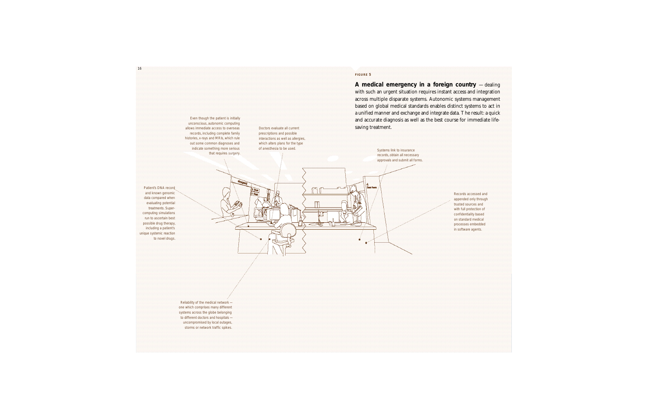#### **F IGURE 5**

**A medical emergency in a foreign country** —dealing with such an urgent situation requires instant access and integration across multiple disparate systems. Autonomic systems management based on global medical standards enables distinct systems to act in a unified manner and exchange and integrate data. The result: a quick and accurate diagnosis as well as the best course for immediate lifesaving treatment.

of anesthesia to be used. Systems link to insurance records, obtain all necessary approvals and submit all forms.

> Records accessed and appended only through trusted sources and with full protection of confidentiality based on standard medical processes embedded in software agents.

Patient's DNA record and known genomic data compared when evaluating potential treatments. Supercomputing simulations run to ascertain best possible drug therapy, including a patient's unique systemic reaction to novel drugs.

> Reliability of the medical network one which comprises many different systems across the globe belonging to different doctors and hospitals uncompromised by local outages, storms or network traffic spikes.

Even though the patient is initially unconscious, autonomic computing allows immediate access to overseas records, including complete family histories, x-rays and MRIs, which rule out some common diagnoses and indicate something more serious that requires surgery.

Doctors evaluate all current prescriptions and possible interactions as well as allergies, which alters plans for the type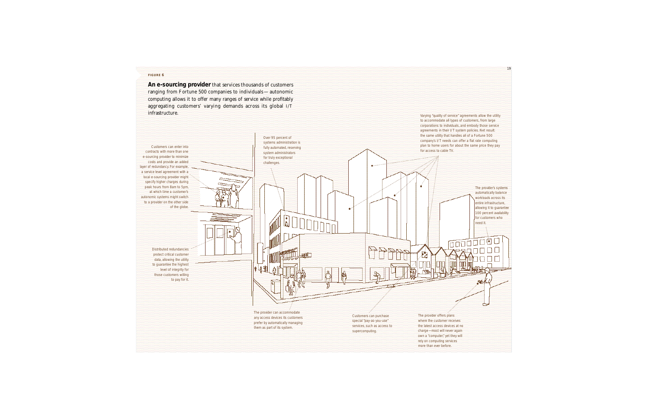#### **F IGURE 6**

**An e-sourcing provider** that services thousands of customers ranging from Fortune 500 companies to individuals — autonomic computing allows it to offer many ranges of service while profitably aggregating customers' varying demands across its global I/T **infrastructure.** Varying "quality of service" agreements allow the utility

Customers can enter into contracts with more than one e-sourcing provider to minimize costs and provide an added layer of redundancy. For example, a service level agreement with a local e-sourcing provider might specify higher charges during peak hours from 8am to 5pm, at which time a customer's autonomic systems might switch to a provider on the other side of the globe.

> Distributed redundancies protect critical customer data, allowing the utility to guarantee the highest level of integrity for those customers willing to pay for it.

systems administration is fully automated, reserving system administrators for truly exceptional challenges.

Over 95 percent of

to accommodate all types of customers, from large corporations to individuals, and embody those service agreements in their I/T system policies. Net result: the same utility that handles all of a Fortune 500 company's I/T needs can offer a flat rate computing plan to home users for about the same price they pay for access to cable TV.

modo

The provider's systems automatically balance workloads across its entire infrastructure, allowing it to guarantee 100 percent availability for customers who need it.

កកស

∾

19

The provider can accommodate any access devices its customers prefer by automatically managing them as part of its system.

11818

Customers can purchase special "pay-as-you-use" services, such as access to supercomputing.

The provider offers plans where the customer receives the latest access devices at no charge—most will never again own a "computer," yet they will rely on computing services more than ever before.

宻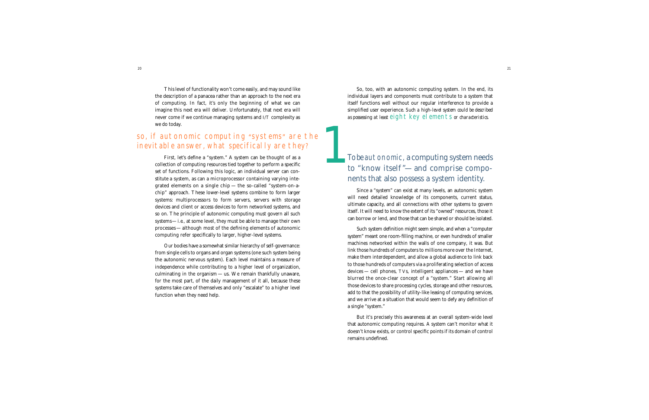This level of functionality won't come easily, and may sound like the description of a panacea rather than an approach to the next era of computing. In fact, it's only the beginning of what we can imagine this next era will deliver. Unfortunately, that next era will never come if we continue managing systems and I/T complexity as we do today.

# so, if autonomic computing "systems" are the inevitable answer, what specifically are they?

First, let's define a "system." A system can be thought of as a collection of computing resources tied together to perform a specific set of functions. Following this logic, an individual server can constitute a system, as can a microprocessor containing varying integrated elements on a single chip — the so-called "system-on-achip" approach. These lower-level systems combine to form larger systems: multiprocessors to form servers, servers with storage devices and client or access devices to form networked systems, and so on. The principle of autonomic computing must govern all such systems—*i.e.*, at some level, they must be able to manage their own processes — although most of the defining elements of autonomic computing refer specifically to larger, higher-level systems.

Our bodies have a somewhat similar hierarchy of self-governance: from single cells to organs and organ systems (one such system being the autonomic nervous system). Each level maintains a measure of independence while contributing to a higher level of organization, culminating in the organism — us. We remain thankfully unaware, for the most part, of the daily management of it all, because these systems take care of themselves and only "escalate" to a higher level function when they need help.

So, too, with an autonomic computing system. In the end, its individual layers and components must contribute to a system that itself functions well without our regular interference to provide a simplified user experience. *Such a high-level system could be described as possessing at least* eight key elements *or characteristics*.

# *To be* autonomic, a computing system needs<br>to "know itself"—and comprise components that also possess a system identity.

Since a "system" can exist at many levels, an autonomic system will need detailed knowledge of its components, current status, ultimate capacity, and all connections with other systems to govern itself. It will need to know the extent of its "owned" resources, those it can borrow or lend, and those that can be shared or should be isolated.

Such system definition might seem simple, and when a "computer system" meant one room-filling machine, or even hundreds of smaller machines networked within the walls of one company, it was. But link those hundreds of computers to millions more over the Internet, make them interdependent, and allow a global audience to link back to those hundreds of computers via a proliferating selection of access devices — cell phones, TVs, intelligent appliances — and we have blurred the once-clear concept of a "system." Start allowing all those devices to share processing cycles, storage and other resources, add to that the possibility of utility-like leasing of computing services, and we arrive at a situation that would seem to defy any definition of a single "system."

But it's precisely this awareness at an overall system-wide level that autonomic computing requires. A system can't monitor what it doesn't know exists, or control specific points if its domain of control remains undefined.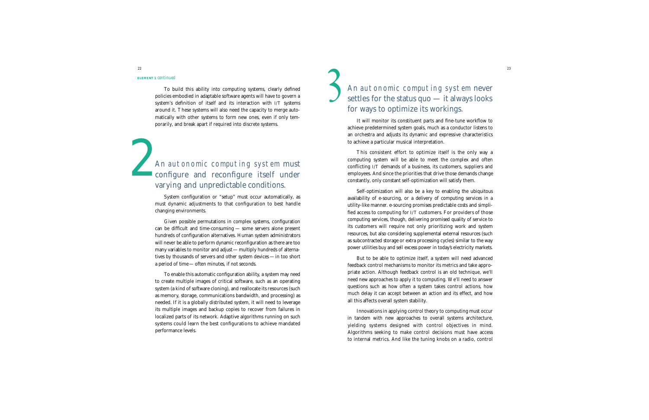#### **ELEMENT 1** *continued*

To build this ability into computing systems, clearly defined policies embodied in adaptable software agents will have to govern a system's definition of itself and its interaction with I/T systems around it. These systems will also need the capacity to merge automatically with other systems to form new ones, even if only temporarily, and break apart if required into discrete systems.

*An* autonomic computing system must configure and reconfigure itself under varying and unpredictable conditions.

> System configuration or "setup" must occur automatically, as must dynamic adjustments to that configuration to best handle changing environments.

> Given possible permutations in complex systems, configuration can be difficult and time-consuming — some servers alone present hundreds of configuration alternatives. Human system administrators will never be able to perform dynamic reconfiguration as there are too many variables to monitor and adjust — multiply hundreds of alternatives by thousands of servers and other system devices —in too short a period of time— often minutes, if not seconds.

> To enable this automatic configuration ability, a system may need to create multiple images of critical software, such as an operating system (a kind of software cloning), and reallocate its resources (such as memory, storage, communications bandwidth, and processing) as needed. If it is a globally distributed system, it will need to leverage its multiple images and backup copies to recover from failures in localized parts of its network. Adaptive algorithms running on such systems could learn the best configurations to achieve mandated performance levels.

# <sup>23</sup><br>An autonomic computing system never settles for the status quo — it always looks for ways to optimize its workings.

It will monitor its constituent parts and fine-tune workflow to achieve predetermined system goals, much as a conductor listens to an orchestra and adjusts its dynamic and expressive characteristics to achieve a particular musical interpretation.

This consistent effort to optimize itself is the only way a computing system will be able to meet the complex and often conflicting I/T demands of a business, its customers, suppliers and employees. And since the priorities that drive those demands change constantly, only constant self-optimization will satisfy them.

Self-optimization will also be a key to enabling the ubiquitous availability of e-sourcing, or a delivery of computing services in a utility-like manner. e-sourcing promises predictable costs and simplified access to computing for I/T customers. For providers of those computing services, though, delivering promised quality of service to its customers will require not only prioritizing work and system resources, but also considering supplemental external resources (such as subcontracted storage or extra processing cycles) similar to the way power utilities buy and sell excess power in today's electricity markets.

But to be able to optimize itself, a system will need advanced feedback control mechanisms to monitor its metrics and take appropriate action. Although feedback control is an old technique, we'll need new approaches to apply it to computing. We'll need to answer questions such as how often a system takes control actions, how much delay it can accept between an action and its effect, and how all this affects overall system stability.

Innovations in applying control theory to computing must occur in tandem with new approaches to overall systems architecture, yielding systems designed with control objectives in mind. Algorithms seeking to make control decisions must have access to internal metrics. And like the tuning knobs on a radio, control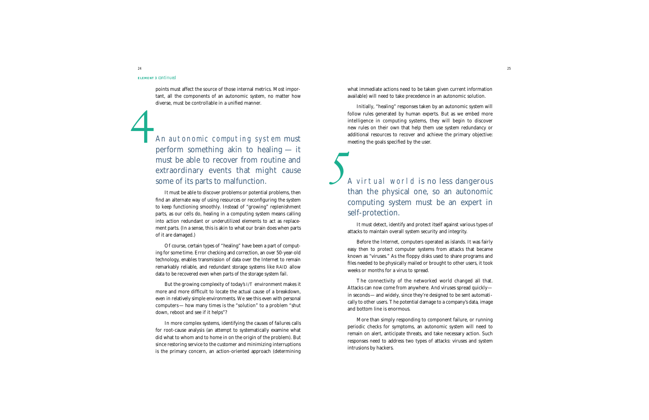#### **ELEMENT 3** *continued*

points must affect the source of those internal metrics. Most important, all the components of an autonomic system, no matter how diverse, must be controllable in a unified manner.

*An* autonomic computing system must perform something akin to healing — it must be able to recover from routine and extraordinary events that might cause some of its parts to malfunction.

It must be able to discover problems or potential problems, then find an alternate way of using resources or reconfiguring the system to keep functioning smoothly. Instead of "growing" replenishment parts, as our cells do, healing in a computing system means calling into action redundant or underutilized elements to act as replacement parts. (In a sense, this is akin to what our brain does when parts of it are damaged.)

Of course, certain types of "healing" have been a part of computing for some time. Error checking and correction, an over 50-year-old technology, enables transmission of data over the Internet to remain remarkably reliable, and redundant storage systems like RAID allow data to be recovered even when parts of the storage system fail.

But the growing complexity of today's I/T environment makes it more and more difficult to locate the actual cause of a breakdown, even in relatively simple environments. We see this even with personal computers—how many times is the "solution" to a problem "shut down, reboot and see if it helps"?

In more complex systems, identifying the causes of failures calls for root-cause analysis (an attempt to systematically examine what did what to whom and to home in on the origin of the problem). But since restoring service to the customer and minimizing interruptions is the primary concern, an action-oriented approach (determining

what immediate actions need to be taken given current information available) will need to take precedence in an autonomic solution.

Initially, "healing" responses taken by an autonomic system will follow rules generated by human experts. But as we embed more intelligence in computing systems, they will begin to discover new rules on their own that help them use system redundancy or additional resources to recover and achieve the primary objective: meeting the goals specified by the user.

 $\int_{0}^{\frac{1}{n}}$ *A* virtual world is no less dangerous than the physical one, so an autonomic computing system must be an expert in self-protection.

> It must detect, identify and protect itself against various types of attacks to maintain overall system security and integrity.

> Before the Internet, computers operated as islands. It was fairly easy then to protect computer systems from attacks that became known as "viruses." As the floppy disks used to share programs and files needed to be physically mailed or brought to other users, it took weeks or months for a virus to spread.

> The connectivity of the networked world changed all that. Attacks can now come from anywhere. And viruses spread quickly in seconds—and widely, since they're designed to be sent automatically to other users. The potential damage to a company's data, image and bottom line is enormous.

> More than simply responding to component failure, or running periodic checks for symptoms, an autonomic system will need to remain on alert, anticipate threats, and take necessary action. Such responses need to address two types of attacks: viruses and system intrusions by hackers.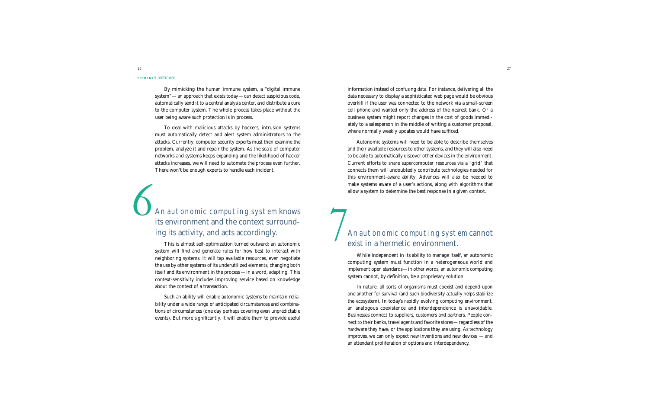#### **ELEMENT 5** *continued*

By mimicking the human immune system, a "digital immune system" — an approach that exists today — can detect suspicious code, automatically send it to a central analysis center, and distribute a cure to the computer system. The whole process takes place without the user being aware such protection is in process.

To deal with malicious attacks by hackers, intrusion systems must automatically detect and alert system administrators to the attacks. Currently, computer security experts must then examine the problem, analyze it and repair the system. As the scale of computer networks and systems keeps expanding and the likelihood of hacker attacks increases, we will need to automate the process even further. There won't be enough experts to handle each incident.

# *An* autonomic computing system knows its environment and the context surrounding its activity, and acts accordingly.

This is almost self-optimization turned outward: an autonomic system will find and generate rules for how best to interact with neighboring systems. It will tap available resources, even negotiate the use by other systems of its underutilized elements, changing both itself and its environment in the process —in a word, adapting. This context-sensitivity includes improving service based on knowledge about the context of a transaction.

Such an ability will enable autonomic systems to maintain reliability under a wide range of anticipated circumstances and combinations of circumstances (one day perhaps covering even unpredictable events). But more significantly, it will enable them to provide useful information instead of confusing data. For instance, delivering all the data necessary to display a sophisticated web page would be obvious overkill if the user was connected to the network via a small-screen cell phone and wanted only the address of the nearest bank. Or a business system might report changes in the cost of goods immediately to a salesperson in the middle of writing a customer proposal, where normally weekly updates would have sufficed.

Autonomic systems will need to be able to describe themselves and their available resources to other systems, and they will also need to be able to automatically discover other devices in the environment. Current efforts to share supercomputer resources via a "grid" that connects them will undoubtedly contribute technologies needed for this environment-aware ability. Advances will also be needed to make systems aware of a user's actions, along with algorithms that allow a system to determine the best response in a given context.

# $\overline{7}$ *An* autonomic computing system cannot exist in a hermetic environment.

While independent in its ability to manage itself, an autonomic computing system must function in a heterogeneous world and implement open standards—in other words, an autonomic computing system cannot, by definition, be a proprietary solution.

In nature, all sorts of organisms must coexist and depend upon one another for survival (and such biodiversity actually helps stabilize the ecosystem). In today's rapidly evolving computing environment, an analogous coexistence and interdependence is unavoidable. Businesses connect to suppliers, customers and partners. People connect to their banks, travel agents and favorite stores—regardless of the hardware they have, or the applications they are using. As technology improves, we can only expect new inventions and new devices  $-$  and an attendant proliferation of options and interdependency.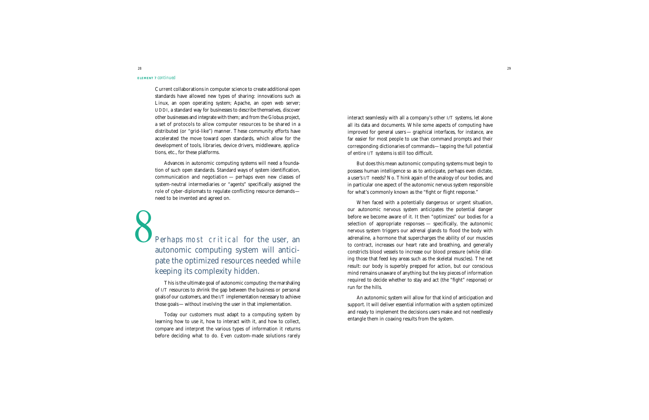#### **ELEMENT 7** *continued*

Current collaborations in computer science to create additional open standards have allowed new types of sharing: innovations such as Linux, an open operating system; Apache, an open web server; UDDI, a standard way for businesses to describe themselves, discover other businesses and integrate with them; and from the Globus project, a set of protocols to allow computer resources to be shared in a distributed (or "grid-like") manner. These community efforts have accelerated the move toward open standards, which allow for the development of tools, libraries, device drivers, middleware, applications, etc., for these platforms.

Advances in autonomic computing systems will need a foundation of such open standards. Standard ways of system identification, communication and negotiation  $-$  perhaps even new classes of system-neutral intermediaries or "agents" specifically assigned the role of cyber-diplomats to regulate conflicting resource demands need to be invented and agreed on.

# Perhaps most critical for the user, an autonomic computing system will anticipate the optimized resources needed while keeping its complexity hidden.

This is the ultimate goal of autonomic computing: the marshaling of I/T resources to shrink the gap between the business or personal goals of our customers, and the I/T implementation necessary to achieve those goals—without involving the user in that implementation.

Today our customers must adapt to a computing system by learning how to use it, how to interact with it, and how to collect, compare and interpret the various types of information it returns before deciding what to do. Even custom-made solutions rarely interact seamlessly with all a company's other I/T systems, let alone all its data and documents. While some aspects of computing have improved for general users — graphical interfaces, for instance, are far easier for most people to use than command prompts and their corresponding dictionaries of commands—tapping the full potential of entire I/T systems is still too difficult.

But does this mean autonomic computing systems must begin to possess human intelligence so as to anticipate, perhaps even dictate, a user's I/T needs? No. Think again of the analogy of our bodies, and in particular one aspect of the autonomic nervous system responsible for what's commonly known as the "fight or flight response."

When faced with a potentially dangerous or urgent situation, our autonomic nervous system anticipates the potential danger before we become aware of it. It then "optimizes" our bodies for a selection of appropriate responses — specifically, the autonomic nervous system triggers our adrenal glands to flood the body with adrenaline, a hormone that supercharges the ability of our muscles to contract, increases our heart rate and breathing, and generally constricts blood vessels to increase our blood pressure (while dilating those that feed key areas such as the skeletal muscles). The net result: our body is superbly prepped for action, but our conscious mind remains unaware of anything but the key pieces of information required to decide whether to stay and act (the "fight" response) or run for the hills.

An autonomic system will allow for that kind of anticipation and support. It will deliver essential information with a system optimized and ready to implement the decisions users make and not needlessly entangle them in coaxing results from the system.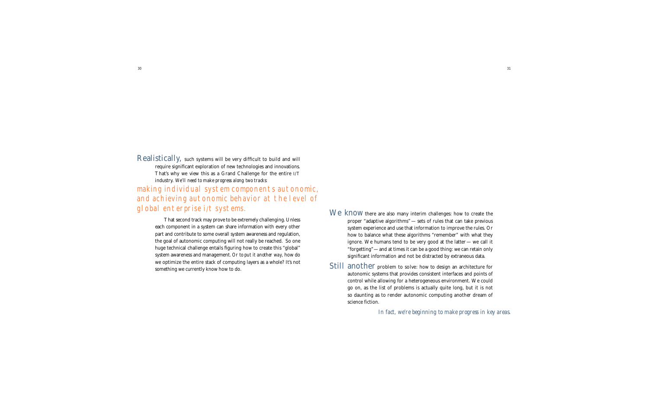Realistically, such systems will be very difficult to build and will require significant exploration of new technologies and innovations. That's why we view this as a Grand Challenge for the entire  $I/T$ industry. We'll need to make progress along two tracks: making individual system components autonomic,

and achieving autonomic behavior at the level of global enterprise i/t systems.

That second track may prove to be extremely challenging. Unless each component in a system can share information with every other part and contribute to some overall system awareness and regulation, the goal of autonomic computing will not really be reached. So one huge technical challenge entails figuring how to create this "global" system awareness and management. *Or to put it another way,* how do we optimize the entire stack of computing layers as a whole? It's not something we currently know how to do.

We know there are also many interim challenges: how to create the proper "adaptive algorithms"— sets of rules that can take previous system experience and use that information to improve the rules. Or how to balance what these algorithms "remember" with what they ignore. We humans tend to be very good at the latter — we call it "forgetting"—and at times it can be a good thing: we can retain only significant information and not be distracted by extraneous data.

Still another problem to solve: how to design an architecture for autonomic systems that provides consistent interfaces and points of control while allowing for a heterogeneous environment. We could go on, as the list of problems is actually quite long, but it is not so daunting as to render autonomic computing another dream of science fiction.

*In fact, we're beginning to make progress in key areas.*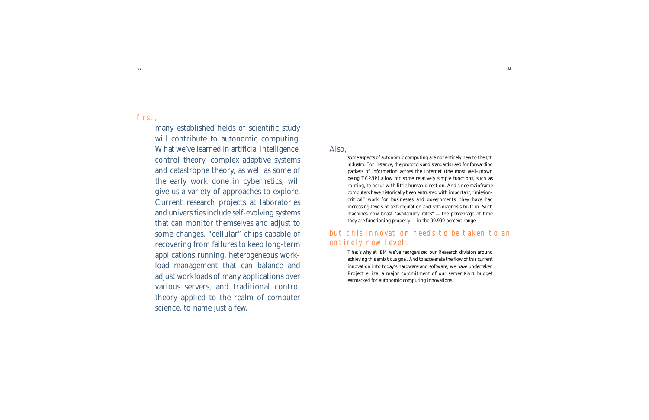32

many established fields of scientific study will contribute to autonomic computing. What we've learned in artificial intelligence, control theory, complex adaptive systems and catastrophe theory, as well as some of the early work done in cybernetics, will give us a variety of approaches to explore. Current research projects at laboratories and universities include self-evolving systems that can monitor themselves and adjust to some changes, "cellular" chips capable of recovering from failures to keep long-term applications running, heterogeneous workload management that can balance and adjust workloads of many applications over various servers, and traditional control theory applied to the realm of computer science, to name just a few.

Also,

some aspects of autonomic computing are not entirely new to the I/T industry. For instance, the protocols and standards used for forwarding packets of information across the Internet (the most well-known being TCP/IP) allow for some relatively simple functions, such as routing, to occur with little human direction. And since mainframe computers have historically been entrusted with important, "missioncritical" work for businesses and governments, they have had increasing levels of self-regulation and self-diagnosis built in. Such machines now boast "availability rates" — the percentage of time they are functioning properly —in the 99.999 percent range.

## but this innovation needs to be taken to an entirely new level.

That's why at IBM we've reorganized our Research division around achieving this ambitious goal. And to accelerate the flow of this current innovation into today's hardware and software, we have undertaken Project eLiza: a major commitment of our server R&D budget earmarked for autonomic computing innovations.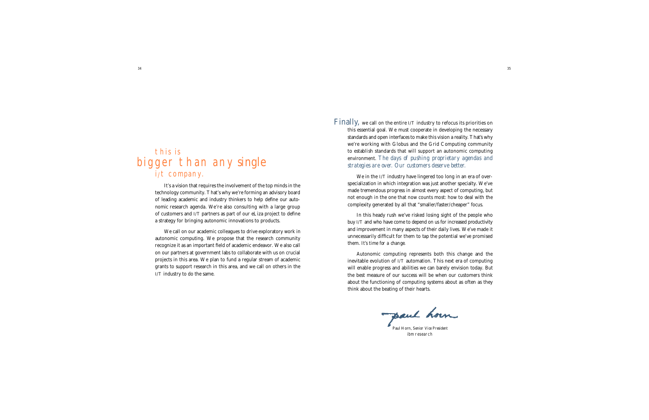# this is bigger than any *single* i/t company.

It's a vision that requires the involvement of the top minds in the technology community. That's why we're forming an advisory board of leading academic and industry thinkers to help define our autonomic research agenda. We're also consulting with a large group of customers and I/T partners as part of our eLiza project to define a strategy for bringing autonomic innovations to products.

We call on our academic colleagues to drive exploratory work in autonomic computing. We propose that the research community recognize it as an important field of academic endeavor. We also call on our partners at government labs to collaborate with us on crucial projects in this area. We plan to fund a regular stream of academic grants to support research in this area, and we call on others in the I/T industry to do the same.

Finally, we call on the entire  $I/T$  industry to refocus its priorities on this essential goal. We must cooperate in developing the necessary standards and open interfaces to make this vision a reality. That's why we're working with Globus and the Grid Computing community to establish standards that will support an autonomic computing environment. *The days of pushing proprietary agendas and strategies are over. Our customers deserve better.* 

We in the I/T industry have lingered too long in an era of overspecialization in which integration was just another specialty. We've made tremendous progress in almost every aspect of computing, but not enough in the one that now counts most: how to deal with the complexity generated by all that "smaller/faster/cheaper" focus.

In this heady rush we've risked losing sight of the people who buy I/T and who have come to depend on us for increased productivity and improvement in many aspects of their daily lives. We've made it unnecessarily difficult for them to tap the potential we've promised them. *It's time for a change*.

Autonomic computing represents both this change and the inevitable evolution of I/T automation. This next era of computing will enable progress and abilities we can barely envision today. But the best measure of our success will be when our customers think about the functioning of computing systems about as often as they think about the beating of their hearts.

paul horn

Paul Horn, *Senior Vice Presiden* ibm research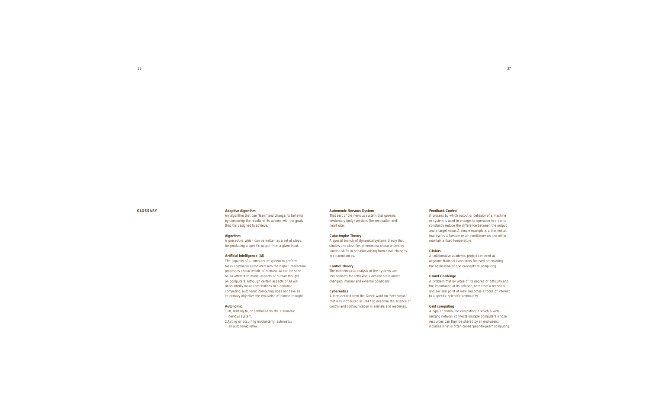#### **GLO SS A RY**

#### **Adaptive Algorithm**

An algorithm that can "learn" and change its behavior by comparing the results of its actions with the goals that it is designed to achieve.

#### **Algorithm**

A procedure, which can be written as a set of steps, for producing a specific output from a given input.

#### **Artificial Intelligence (AI)**

The capacity of a computer or system to perform tasks commonly associated with the higher intellectual processes characteristic of humans. AI can be seen as an attempt to model aspects of human thought on computers. Although certain aspects of AI will undoubtedly make contributions to autonomic computing, autonomic computing does not have as its primary objective the emulation of human thought.

#### **Autonomic**

1.Of, relating to, or controlled by the autonomic nervous system.

2.Acting or occurring involuntarily; automatic: an autonomic reflex.

#### **Autonomic Nervous System**

That part of the nervous system that governs involuntary body functions like respiration and heart rate.

#### **Catastrophe Theory**

A special branch of dynamical systems theory that studies and classifies phenomena characterized by sudden shifts in behavior arising from small changes in circumstances.

#### **Control Theory**

The mathematical analysis of the systems and mechanisms for achieving a desired state under changing internal and external conditions.

#### **Cybernetics**

A term derived from the Greek word for "steersman" that was introduced in 1947 to describe the science of control and communication in animals and machines.

#### **Feedback Control**

A process by which output or behavior of a machine or system is used to change its operation in order to constantly reduce the difference between the output and a target value. A simple example is a thermostat that cycles a furnace or air conditioner on and off to maintain a fixed temperature.

#### **Globus**

A collaborative academic project centered at Argonne National Laboratory focused on enabling the application of grid concepts to computing.

#### **Grand Challenge**

A problem that by virtue of its degree of difficulty and the importance of its solution, both from a technical and societal point of view, becomes a focus of interest to a specific scientific community.

#### **Grid computing**

A type of distributed computing in which a wideranging network connects multiple computers whose resources can then be shared by all end-users; includes what is often called "peer-to-peer" computing.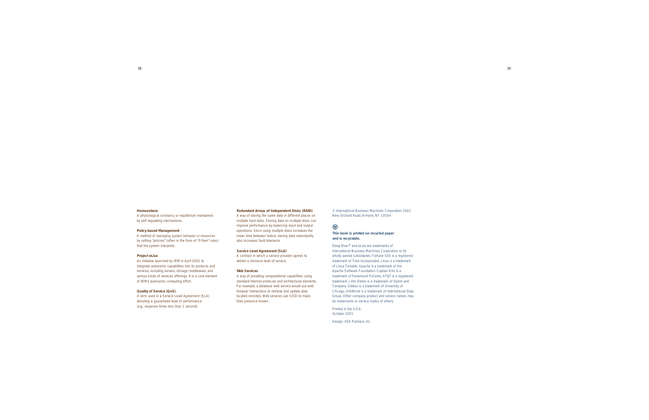#### **Homeostasis**

A physiological constancy or equilibrium maintained by self-regulating mechanisms.

#### **Policy-based Management**

A method of managing system behavior or resources by setting "policies" (often in the form of "if-then" rules) that the system interprets.

#### **Project eLiza**

An initiative launched by IBM in April 2001 to integrate autonomic capabilities into its products and services, including servers, storage, middleware, and various kinds of services offerings. It is a core element of IBM's autonomic computing effort.

#### **Quality of Service (QoS)**

A term used in a Service Level Agreement (SLA) denoting a guaranteed level of performance (e.g., response times less than 1 second).

#### **Redundant Arrays of Independent Disks (RAID)**

A way of storing the same data in different places on multiple hard disks. Storing data on multiple disks can improve performance by balancing input and output operations. Since using multiple disks increases the mean time between failure, storing data redundantly also increases fault-tolerance.

#### **Service Level Agreement (SLA)**

A contract in which a service provider agrees to deliver a minimum level of service.

#### **Web Services**

A way of providing computational capabilities using standard Internet protocols and architectural elements. For example, a database web service would use web browser interactions to retrieve and update data located remotely. Web services use UDDI to make their presence known.

© International Business Machines Corporation 2001 New Orchard Road, Armonk, NY 10504

#### $\bigcirc$

**This book is printed on recycled paper and is recyclable.**

Deep Blue<sup>®</sup> and eLiza are trademarks of International Business Machines Corporation or its wholly owned subsidiaries. Fortune 500 is a registered trademark of Time Incorporated. Linux is a trademark of Linus Torvalds. Apache is a trademark of the Apache Software Foundation. Captain Kirk is a trademark of Paramount Pictures. AT&T is a registered trademark. John Deere is a trademark of Deere and Company. Globus is a trademark of University of Chicago. InfoWorld is a trademark of International Data Group. Other company product and service names may be trademarks or service marks of others.

Printed in the U.S.A. October 2001

Design: VSA Partners, Inc.